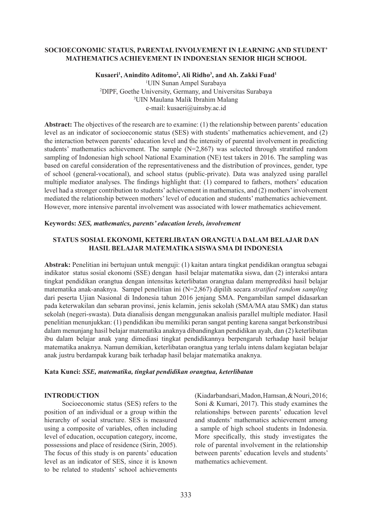### **SOCIOECONOMIC STATUS, PARENTAL INVOLVEMENT IN LEARNING AND STUDENT' MATHEMATICS ACHIEVEMENT IN INDONESIAN SENIOR HIGH SCHOOL**

### **Kusaeri1 , Anindito Aditomo2 , Ali Ridho3 , and Ah. Zakki Fuad1** <sup>1</sup>UIN Sunan Ampel Surabaya UIN Sunan Ampel Surabaya 2 DIPF, Goethe University, Germany, and Universitas Surabaya 3 UIN Maulana Malik Ibrahim Malang e-mail: kusaeri@uinsby.ac.id

**Abstract:** The objectives of the research are to examine: (1) the relationship between parents' education level as an indicator of socioeconomic status (SES) with students' mathematics achievement, and (2) the interaction between parents' education level and the intensity of parental involvement in predicting students' mathematics achievement. The sample  $(N=2.867)$  was selected through stratified random sampling of Indonesian high school National Examination (NE) test takers in 2016. The sampling was based on careful consideration of the representativeness and the distribution of provinces, gender, type of school (general-vocational), and school status (public-private). Data was analyzed using parallel multiple mediator analyses. The findings highlight that: (1) compared to fathers, mothers' education level had a stronger contribution to students' achievement in mathematics, and (2) mothers' involvement mediated the relationship between mothers' level of education and students' mathematics achievement. However, more intensive parental involvement was associated with lower mathematics achievement.

### **Keywords:** *SES, mathematics, parents' education levels, involvement*

## **STATUS SOSIAL EKONOMI, KETERLIBATAN ORANGTUA DALAM BELAJAR DAN HASIL BELAJAR MATEMATIKA SISWA SMA DI INDONESIA**

**Abstrak:** Penelitian ini bertujuan untuk menguji: (1) kaitan antara tingkat pendidikan orangtua sebagai indikator status sosial ekonomi (SSE) dengan hasil belajar matematika siswa, dan (2) interaksi antara tingkat pendidikan orangtua dengan intensitas keterlibatan orangtua dalam memprediksi hasil belajar matematika anak-anaknya. Sampel penelitian ini (N=2,867) dipilih secara *stratified random sampling* dari peserta Ujian Nasional di Indonesia tahun 2016 jenjang SMA. Pengambilan sampel didasarkan pada keterwakilan dan sebaran provinsi, jenis kelamin, jenis sekolah (SMA/MA atau SMK) dan status sekolah (negeri-swasta). Data dianalisis dengan menggunakan analisis parallel multiple mediator. Hasil penelitian menunjukkan: (1) pendidikan ibu memiliki peran sangat penting karena sangat berkonstribusi dalam menunjang hasil belajar matematika anaknya dibandingkan pendidikan ayah, dan (2) keterlibatan ibu dalam belajar anak yang dimediasi tingkat pendidikannya berpengaruh terhadap hasil belajar matematika anaknya. Namun demikian, keterlibatan orangtua yang terlalu intens dalam kegiatan belajar anak justru berdampak kurang baik terhadap hasil belajar matematika anaknya.

### **Kata Kunci:** *SSE, matematika, tingkat pendidikan orangtua, keterlibatan*

### **INTRODUCTION**

Socioeconomic status (SES) refers to the position of an individual or a group within the hierarchy of social structure. SES is measured using a composite of variables, often including level of education, occupation category, income, possessions and place of residence (Sirin, 2005). The focus of this study is on parents' education level as an indicator of SES, since it is known to be related to students' school achievements (Kiadarbandsari, Madon, Hamsan, & Nouri, 2016; Soni & Kumari, 2017). This study examines the relationships between parents' education level and students' mathematics achievement among a sample of high school students in Indonesia. More specifically, this study investigates the role of parental involvement in the relationship between parents' education levels and students' mathematics achievement.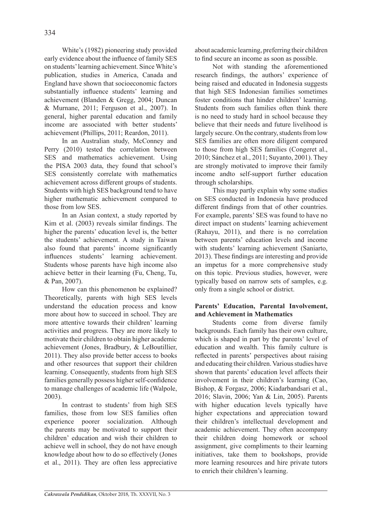White's (1982) pioneering study provided early evidence about the influence of family SES on students' learning achievement. Since White's publication, studies in America, Canada and England have shown that socioeconomic factors substantially influence students' learning and achievement (Blanden & Gregg, 2004; Duncan & Murnane, 2011; Ferguson et al., 2007). In general, higher parental education and family income are associated with better students' achievement (Phillips, 2011; Reardon, 2011).

In an Australian study, McConney and Perry (2010) tested the correlation between SES and mathematics achievement. Using the PISA 2003 data, they found that school's SES consistently correlate with mathematics achievement across different groups of students. Students with high SES background tend to have higher mathematic achievement compared to those from low SES.

In an Asian context, a study reported by Kim et al. (2003) reveals similar findings. The higher the parents' education level is, the better the students' achievement. A study in Taiwan also found that parents' income significantly influences students' learning achievement. Students whose parents have high income also achieve better in their learning (Fu, Cheng, Tu, & Pan, 2007).

How can this phenomenon be explained? Theoretically, parents with high SES levels understand the education process and know more about how to succeed in school. They are more attentive towards their children' learning activities and progress. They are more likely to motivate their children to obtain higher academic achievement (Jones, Bradbury, & LeBoutillier, 2011). They also provide better access to books and other resources that support their children learning. Consequently, students from high SES families generally possess higher self-confidence to manage challenges of academic life (Walpole, 2003).

In contrast to students' from high SES families, those from low SES families often experience poorer socialization. Although the parents may be motivated to support their children' education and wish their children to achieve well in school, they do not have enough knowledge about how to do so effectively (Jones et al., 2011). They are often less appreciative about academic learning, preferring their children to find secure an income as soon as possible.

Not with standing the aforementioned research findings, the authors' experience of being raised and educated in Indonesia suggests that high SES Indonesian families sometimes foster conditions that hinder children' learning. Students from such families often think there is no need to study hard in school because they believe that their needs and future livelihood is largely secure. On the contrary, students from low SES families are often more diligent compared to those from high SES families (Congeret al., 2010; Sánchez et al., 2011; Suyanto, 2001). They are strongly motivated to improve their family income andto self-support further education through scholarships.

This may partly explain why some studies on SES conducted in Indonesia have produced different findings from that of other countries. For example, parents' SES was found to have no direct impact on students' learning achievement (Rahayu, 2011), and there is no correlation between parents' education levels and income with students' learning achievement (Saniarto, 2013). These findings are interesting and provide an impetus for a more comprehensive study on this topic. Previous studies, however, were typically based on narrow sets of samples, e.g. only from a single school or district.

# **Parents' Education, Parental Involvement, and Achievement in Mathematics**

Students come from diverse family backgrounds. Each family has their own culture, which is shaped in part by the parents' level of education and wealth. This family culture is reflected in parents' perspectives about raising and educating their children. Various studies have shown that parents' education level affects their involvement in their children's learning (Cao, Bishop, & Forgasz, 2006; Kiadarbandsari et al., 2016; Slavin, 2006; Yan & Lin, 2005). Parents with higher education levels typically have higher expectations and appreciation toward their children's intellectual development and academic achievement. They often accompany their children doing homework or school assignment, give compliments to their learning initiatives, take them to bookshops, provide more learning resources and hire private tutors to enrich their children's learning.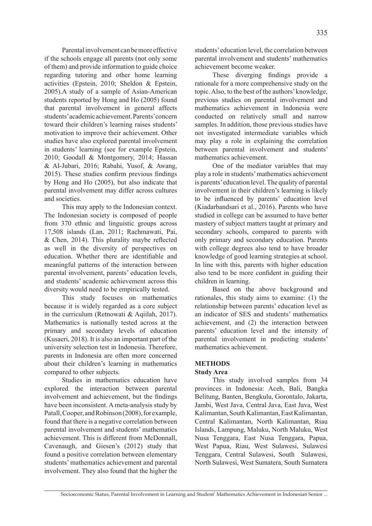Parental involvement can be more effective if the schools engage all parents (not only some of them) and provide information to guide choice achievement become weaker.

regarding tutoring and other home learning activities (Epstein, 2010; Sheldon & Epstein, 2005).A study of a sample of Asian-American students reported by Hong and Ho (2005) found that parental involvement in general affects students' academic achievement. Parents'concern toward their children's learning raises students' motivation to improve their achievement. Other studies have also explored parental involvement in students' learning (see for example Epstein, 2010; Goodall & Montgomery, 2014; Hassan & Al-Jubari, 2016; Rabahi, Yusof, & Awang, 2015). These studies confirm previous findings by Hong and Ho (2005), but also indicate that parental involvement may differ across cultures and societies.

This may apply to the Indonesian context. The Indonesian society is composed of people from 370 ethnic and linguistic groups across 17,508 islands (Lan, 2011; Rachmawati, Pai, & Chen, 2014). This plurality maybe reflected as well in the diversity of perspectives on education. Whether there are identifiable and meaningful patterns of the interaction between parental involvement, parents' education levels, and students' academic achievement across this diversity would need to be empirically tested.

This study focuses on mathematics because it is widely regarded as a core subject in the curriculum (Retnowati & Aqiilah, 2017). Mathematics is nationally tested across at the primary and secondary levels of education (Kusaeri, 2018). It is also an important part of the university selection test in Indonesia. Therefore, parents in Indonesia are often more concerned about their children's learning in mathematics compared to other subjects.

Studies in mathematics education have explored the interaction between parental involvement and achievement, but the findings have been inconsistent. A meta-analysis study by Patall, Cooper, and Robinson (2008), for example, found that there is a negative correlation between parental involvement and students' mathematics achievement. This is different from McDonnall, Cavenaugh, and Giesen's (2012) study that found a positive correlation between elementary students' mathematics achievement and parental involvement. They also found that the higher the students' education level, the correlation between parental involvement and students' mathematics

These diverging findings provide a rationale for a more comprehensive study on the topic. Also, to the best of the authors' knowledge, previous studies on parental involvement and mathematics achievement in Indonesia were conducted on relatively small and narrow samples. In addition, those previous studies have not investigated intermediate variables which may play a role in explaining the correlation between parental involvement and students' mathematics achievement.

One of the mediator variables that may play a role in students' mathematics achievement is parents' education level. The quality of parental involvement in their children's learning is likely to be influenced by parents' education level (Kiadarbandsari et al., 2016). Parents who have studied in college can be assumed to have better mastery of subject matters taught at primary and secondary schools, compared to parents with only primary and secondary education. Parents with college degrees also tend to have broader knowledge of good learning strategies at school. In line with this, parents with higher education also tend to be more confident in guiding their children in learning.

Based on the above background and rationales, this study aims to examine: (1) the relationship between parents' education level as an indicator of SES and students' mathematics achievement, and (2) the interaction between parents' education level and the intensity of parental involvement in predicting students' mathematics achievement.

## **METHODS**

### **Study Area**

This study involved samples from 34 provinces in Indonesia: Aceh, Bali, Bangka Belitung, Banten, Bengkulu, Gorontalo, Jakarta, Jambi, West Java, Central Java, East Java, West Kalimantan, South Kalimantan, East Kalimantan, Central Kalimantan, North Kalimantan, Riau Islands, Lampung, Maluku, North Maluku, West Nusa Tenggara, East Nusa Tenggara, Papua, West Papua, Riau, West Sulawesi, Sulawesi Tenggara, Central Sulawesi, South Sulawesi, North Sulawesi, West Sumatera, South Sumatera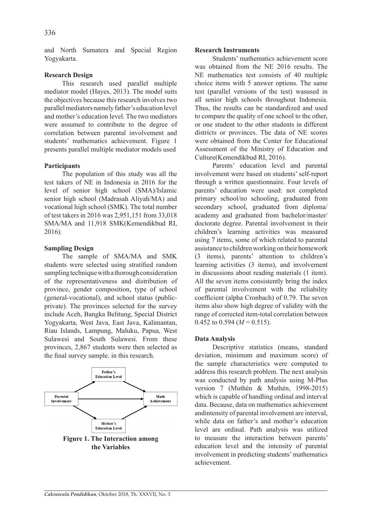and North Sumatera and Special Region Yogyakarta.

## **Research Design**

This research used parallel multiple mediator model (Hayes, 2013). The model suits the objectives because this research involves two parallel mediators namely father's education level and mother's education level. The two mediators were assumed to contribute to the degree of correlation between parental involvement and students' mathematics achievement. Figure 1 presents parallel multiple mediator models used

## **Participants**

The population of this study was all the test takers of NE in Indonesia in 2016 for the level of senior high school (SMA)/Islamic senior high school (Madrasah Aliyah/MA) and vocational high school (SMK). The total number of test takers in 2016 was 2,951,151 from 33,018 SMA/MA and 11,918 SMK(Kemendikbud RI, 2016).

## **Sampling Design**

The sample of SMA/MA and SMK students were selected using stratified random sampling technique with a thorough consideration of the representativeness and distribution of province, gender composition, type of school (general-vocational), and school status (publicprivate). The provinces selected for the survey include Aceh, Bangka Belitung, Special District Yogyakarta, West Java, East Java, Kalimantan, Riau Islands, Lampung, Maluku, Papua, West Sulawesi and South Sulawesi. From these provinces, 2,867 students were then selected as the final survey sample. in this research.



## **Research Instruments**

Students' mathematics achievement score was obtained from the NE 2016 results. The NE mathematics test consists of 40 multiple choice items with 5 answer options. The same test (parallel versions of the test) wasused in all senior high schools throughout Indonesia. Thus, the results can be standardized and used to compare the quality of one school to the other, or one student to the other students in different districts or provinces. The data of NE scores were obtained from the Center for Educational Assessment of the Ministry of Education and Culture(Kemendikbud RI, 2016).

Parents' education level and parental involvement were based on students' self-report through a written questionnaire. Four levels of parents' education were used: not completed primary school/no schooling, graduated from secondary school, graduated from diploma/ academy and graduated from bachelor/master/ doctorate degree. Parental involvement in their children's learning activities was measured using 7 items, some of which related to parental assistance to children working on their homework (3 items), parents' attention to children's learning activities (3 items), and involvement in discussions about reading materials (1 item). All the seven items consistently bring the index of parental involvement with the reliability coefficient (alpha Cronbach) of 0.79. The seven items also show high degree of validity with the range of corrected item-total correlation between 0.452 to 0.594 ( $M = 0.515$ ).

# **Data Analysis**

Descriptive statistics (means, standard deviation, minimum and maximum score) of the sample characteristics were computed to address this research problem. The next analysis was conducted by path analysis using M-Plus version 7 (Muthén & Muthén, 1998-2015) which is capable of handling ordinal and interval data. Because, data on mathematics achievement andintensity of parental involvement are interval, while data on father's and mother's education level are ordinal. Path analysis was utilized to measure the interaction between parents' education level and the intensity of parental involvement in predicting students' mathematics achievement.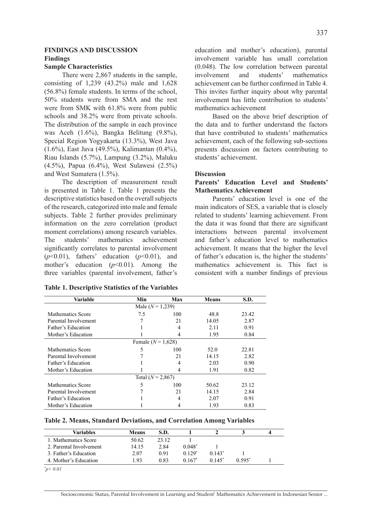### **FINDINGS AND DISCUSSION Findings**

#### **Sample Characteristics**

There were 2,867 students in the sample, consisting of 1,239 (43.2%) male and 1,628 (56.8%) female students. In terms of the school, 50% students were from SMA and the rest were from SMK with 61.8% were from public schools and 38.2% were from private schools. The distribution of the sample in each province was Aceh (1.6%), Bangka Belitung (9.8%), Special Region Yogyakarta (13.3%), West Java (1.6%), East Java (49.5%), Kalimantan (0.4%), Riau Islands (5.7%), Lampung (3.2%), Maluku (4.5%), Papua (6.4%), West Sulawesi (2.5%) and West Sumatera (1.5%).

The description of measurement result is presented in Table 1. Table 1 presents the descriptive statistics based on the overall subjects of the research, categorized into male and female subjects. Table 2 further provides preliminary information on the zero correlation (product moment correlations) among research variables. The students' mathematics achievement significantly correlates to parental involvement (*p*<0.01), fathers' education (*p*<0.01), and mother's education (*p*<0.01). Among the three variables (parental involvement, father's

| education and mother's education), parental      |
|--------------------------------------------------|
| involvement variable has small correlation       |
| $(0.048)$ . The low correlation between parental |
| involvement and students' mathematics            |
| achievement can be further confirmed in Table 4. |
| This invites further inquiry about why parental  |
| involvement has little contribution to students' |
| mathematics achievement                          |

Based on the above brief description of the data and to further understand the factors that have contributed to students' mathematics achievement, each of the following sub-sections presents discussion on factors contributing to students' achievement.

#### **Discussion**

### **Parents' Education Level and Students' Mathematics Achievement**

Parents' education level is one of the main indicators of SES, a variable that is closely related to students' learning achievement. From the data it was found that there are significant interactions between parental involvement and father's education level to mathematics achievement. It means that the higher the level of father's education is, the higher the students' mathematics achievement is. This fact is consistent with a number findings of previous

| Variable                 | Min | Max | <b>Means</b> | S.D.  |  |  |
|--------------------------|-----|-----|--------------|-------|--|--|
| Male $(N = 1,239)$       |     |     |              |       |  |  |
| Mathematics Score        | 7.5 | 100 | 48.8         | 23.42 |  |  |
| Parental Involvement     |     | 21  | 14.05        | 2.87  |  |  |
| Father's Education       |     | 4   | 2.11         | 0.91  |  |  |
| Mother's Education       |     | 4   | 1.95         | 0.84  |  |  |
| Female $(N = 1,628)$     |     |     |              |       |  |  |
| Mathematics Score        | 5   | 100 | 52.0         | 22.81 |  |  |
| Parental Involvement     |     | 21  | 14.15        | 2.82  |  |  |
| Father's Education       |     | 4   | 2.03         | 0.90  |  |  |
| Mother's Education       |     | 4   | 1.91         | 0.82  |  |  |
| Total $(N = 2,867)$      |     |     |              |       |  |  |
| <b>Mathematics Score</b> | 5   | 100 | 50.62        | 23.12 |  |  |
| Parental Involvement     |     | 21  | 14.15        | 2.84  |  |  |
| Father's Education       |     | 4   | 2.07         | 0.91  |  |  |
| Mother's Education       |     |     | 1.93         | 0.83  |  |  |

|  | <b>Table 1. Descriptive Statistics of the Variables</b> |  |  |  |
|--|---------------------------------------------------------|--|--|--|
|--|---------------------------------------------------------|--|--|--|

**Table 2. Means, Standard Deviations, and Correlation Among Variables**

| Variables               | <b>Means</b> | S.D.  |          |          |          | 4 |
|-------------------------|--------------|-------|----------|----------|----------|---|
| 1. Mathematics Score    | 50.62        | 23.12 |          |          |          |   |
| 2. Parental Involvement | 14.15        | 2.84  | $0.048*$ |          |          |   |
| 3. Father's Education   | 2.07         | 0.91  | $0.129*$ | $0.143*$ |          |   |
| 4. Mother's Education   | -93          | 0.83  | $0.167*$ | $0.145*$ | $0.595*$ |   |

*\* p< 0.01*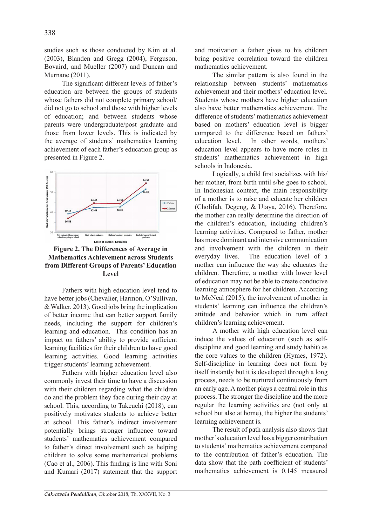studies such as those conducted by Kim et al. (2003), Blanden and Gregg (2004), Ferguson, Bovaird, and Mueller (2007) and Duncan and Murnane (2011).

The significant different levels of father's education are between the groups of students whose fathers did not complete primary school/ did not go to school and those with higher levels of education; and between students whose parents were undergraduate/post graduate and those from lower levels. This is indicated by the average of students' mathematics learning achievement of each father's education group as presented in Figure 2.



**Figure 2. The Differences of Average in Mathematics Achievement across Students from Different Groups of Parents' Education Level**

Fathers with high education level tend to have better jobs (Chevalier, Harmon, O'Sullivan, & Walker, 2013). Good jobs bring the implication of better income that can better support family needs, including the support for children's learning and education. This condition has an impact on fathers' ability to provide sufficient learning facilities for their children to have good learning activities. Good learning activities trigger students' learning achievement.

Fathers with higher education level also commonly invest their time to have a discussion with their children regarding what the children do and the problem they face during their day at school. This, according to Takeuchi (2018), can positively motivates students to achieve better at school. This father's indirect involvement potentially brings stronger influence toward students' mathematics achievement compared to father's direct involvement such as helping children to solve some mathematical problems (Cao et al., 2006). This finding is line with Soni and Kumari (2017) statement that the support and motivation a father gives to his children bring positive correlation toward the children mathematics achievement.

The similar pattern is also found in the relationship between students' mathematics achievement and their mothers' education level. Students whose mothers have higher education also have better mathematics achievement. The difference of students' mathematics achievement based on mothers' education level is bigger compared to the difference based on fathers' education level. In other words, mothers' education level appears to have more roles in students' mathematics achievement in high schools in Indonesia.

Logically, a child first socializes with his/ her mother, from birth until s/he goes to school. In Indonesian context, the main responsibility of a mother is to raise and educate her children (Cholifah, Degeng, & Utaya, 2016). Therefore, the mother can really determine the direction of the children's education, including children's learning activities. Compared to father, mother has more dominant and intensive communication and involvement with the children in their everyday lives. The education level of a mother can influence the way she educates the children. Therefore, a mother with lower level of education may not be able to create conducive learning atmosphere for her children. According to McNeal (2015), the involvement of mother in students' learning can influence the children's attitude and behavior which in turn affect children's learning achievement.

A mother with high education level can induce the values of education (such as selfdiscipline and good learning and study habit) as the core values to the children (Hymes, 1972). Self-discipline in learning does not form by itself instantly but it is developed through a long process, needs to be nurtured continuously from an early age. A mother plays a central role in this process. The stronger the discipline and the more regular the learning activities are (not only at school but also at home), the higher the students' learning achievement is.

The result of path analysis also shows that mother's education level has a bigger contribution to students' mathematics achievement compared to the contribution of father's education. The data show that the path coefficient of students' mathematics achievement is 0.145 measured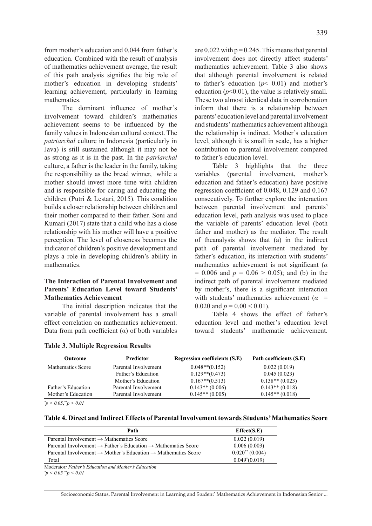from mother's education and 0.044 from father's education. Combined with the result of analysis of mathematics achievement average, the result of this path analysis signifies the big role of mother's education in developing students' learning achievement, particularly in learning mathematics.

The dominant influence of mother's involvement toward children's mathematics achievement seems to be influenced by the family values in Indonesian cultural context. The *patriarchal* culture in Indonesia (particularly in Java) is still sustained although it may not be as strong as it is in the past. In the *patriarchal*  culture, a father is the leader in the family, taking the responsibility as the bread winner, while a mother should invest more time with children and is responsible for caring and educating the children (Putri & Lestari, 2015). This condition builds a closer relationship between children and their mother compared to their father. Soni and Kumari (2017) state that a child who has a close relationship with his mother will have a positive perception. The level of closeness becomes the indicator of children's positive development and plays a role in developing children's ability in mathematics.

## **The Interaction of Parental Involvement and Parents' Education Level toward Students' Mathematics Achievement**

The initial description indicates that the variable of parental involvement has a small effect correlation on mathematics achievement. Data from path coefficient ( $α$ ) of both variables are  $0.022$  with  $p = 0.245$ . This means that parental involvement does not directly affect students' mathematics achievement. Table 3 also shows that although parental involvement is related to father's education  $(p< 0.01)$  and mother's education  $(p<0.01)$ , the value is relatively small. These two almost identical data in corroboration inform that there is a relationship between parents' education level and parental involvement and students' mathematics achievement although the relationship is indirect. Mother's education level, although it is small in scale, has a higher contribution to parental involvement compared to father's education level.

Table 3 highlights that the three variables (parental involvement, mother's education and father's education) have positive regression coefficient of 0.048, 0.129 and 0.167 consecutively. To further explore the interaction between parental involvement and parents' education level, path analysis was used to place the variable of parents' education level (both father and mother) as the mediator. The result of theanalysis shows that (a) in the indirect path of parental involvement mediated by father's education, its interaction with students' mathematics achievement is not significant (*α*  $= 0.006$  and  $p = 0.06 > 0.05$ ; and (b) in the indirect path of parental involvement mediated by mother's, there is a significant interaction with students' mathematics achievement  $(a =$ 0.020 and  $p = 0.00 \le 0.01$ ).

Table 4 shows the effect of father's education level and mother's education level toward students' mathematic achievement.

| <b>Outcome</b>           | <b>Predictor</b>     | <b>Regression coefficients (S.E)</b> | Path coefficients (S.E) |
|--------------------------|----------------------|--------------------------------------|-------------------------|
| <b>Mathematics Score</b> | Parental Involvement | $0.048**$ (0.152)                    | 0.022(0.019)            |
|                          | Father's Education   | $0.129**$ (0.473)                    | 0.045(0.023)            |
|                          | Mother's Education   | $0.167**$ (0.513)                    | $0.138**$ (0.023)       |
| Father's Education       | Parental Involvement | $0.143**$ (0.006)                    | $0.143**$ (0.018)       |
| Mother's Education       | Parental Involvement | $0.145**$ (0.005)                    | $0.145**$ (0.018)       |

*\* p < 0.05*, *\*\*p < 0.01*

**Table 4. Direct and Indirect Effects of Parental Involvement towards Students' Mathematics Score**

| Path                                                                                  | Effect(S.E)          |
|---------------------------------------------------------------------------------------|----------------------|
| Parental Involvement $\rightarrow$ Mathematics Score                                  | 0.022(0.019)         |
| Parental Involvement $\rightarrow$ Father's Education $\rightarrow$ Mathematics Score | 0.006(0.003)         |
| Parental Involvement $\rightarrow$ Mother's Education $\rightarrow$ Mathematics Score | $0.020^{**}$ (0.004) |
| Total                                                                                 | $0.049*(0.019)$      |

Moderator*: Father's Education and Mother's Education \* p < 0.05 \*\*p < 0.01*

Socioeconomic Status, Parental Involvement in Learning and Student' Mathematics Achievement in Indonesian Senior ...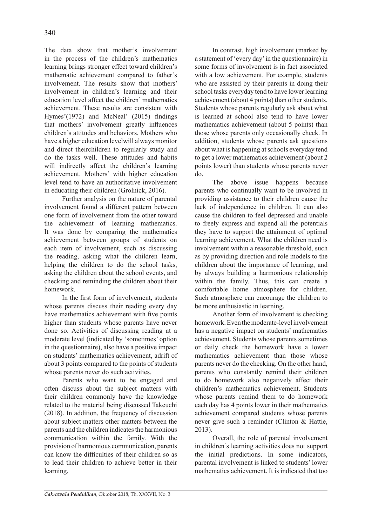The data show that mother's involvement in the process of the children's mathematics learning brings stronger effect toward children's mathematic achievement compared to father's involvement. The results show that mothers' involvement in children's learning and their education level affect the children' mathematics achievement. These results are consistent with Hymes'(1972) and McNeal' (2015) findings that mothers' involvement greatly influences children's attitudes and behaviors. Mothers who have a higher education levelwill always monitor and direct theirchildren to regularly study and do the tasks well. These attitudes and habits will indirectly affect the children's learning achievement. Mothers' with higher education level tend to have an authoritative involvement in educating their children (Grolnick, 2016).

Further analysis on the nature of parental involvement found a different pattern between one form of involvement from the other toward the achievement of learning mathematics. It was done by comparing the mathematics achievement between groups of students on each item of involvement, such as discussing the reading, asking what the children learn, helping the children to do the school tasks, asking the children about the school events, and checking and reminding the children about their homework.

In the first form of involvement, students whose parents discuss their reading every day have mathematics achievement with five points higher than students whose parents have never done so. Activities of discussing reading at a moderate level (indicated by 'sometimes' option in the questionnaire), also have a positive impact on students' mathematics achievement, adrift of about 3 points compared to the points of students whose parents never do such activities.

Parents who want to be engaged and often discuss about the subject matters with their children commonly have the knowledge related to the material being discussed Takeuchi (2018). In addition, the frequency of discussion about subject matters other matters between the parents and the children indicates the harmonious communication within the family. With the provision of harmonious communication, parents can know the difficulties of their children so as to lead their children to achieve better in their learning.

In contrast, high involvement (marked by a statement of 'every day' in the questionnaire) in some forms of involvement is in fact associated with a low achievement. For example, students who are assisted by their parents in doing their school tasks everyday tend to have lower learning achievement (about 4 points) than other students. Students whose parents regularly ask about what is learned at school also tend to have lower mathematics achievement (about 5 points) than those whose parents only occasionally check. In addition, students whose parents ask questions about what is happening at schools everyday tend to get a lower mathematics achievement (about 2 points lower) than students whose parents never do.

The above issue happens because parents who continually want to be involved in providing assistance to their children cause the lack of independence in children. It can also cause the children to feel depressed and unable to freely express and expend all the potentials they have to support the attainment of optimal learning achievement. What the children need is involvement within a reasonable threshold, such as by providing direction and role models to the children about the importance of learning, and by always building a harmonious relationship within the family. Thus, this can create a comfortable home atmosphere for children. Such atmosphere can encourage the children to be more enthusiastic in learning.

Another form of involvement is checking homework. Even the moderate-level involvement has a negative impact on students' mathematics achievement. Students whose parents sometimes or daily check the homework have a lower mathematics achievement than those whose parents never do the checking. On the other hand, parents who constantly remind their children to do homework also negatively affect their children's mathematics achievement. Students whose parents remind them to do homework each day has 4 points lower in their mathematics achievement compared students whose parents never give such a reminder (Clinton & Hattie, 2013).

Overall, the role of parental involvement in children's learning activities does not support the initial predictions. In some indicators, parental involvement is linked to students' lower mathematics achievement. It is indicated that too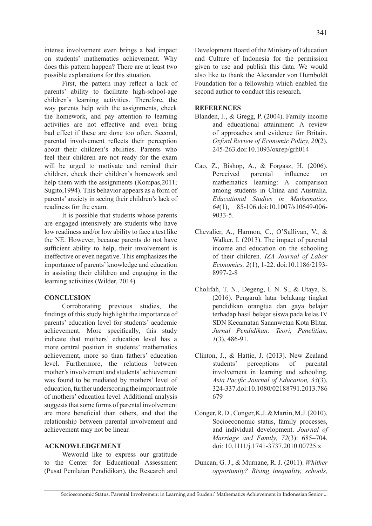intense involvement even brings a bad impact on students' mathematics achievement. Why does this pattern happen? There are at least two possible explanations for this situation.

First, the pattern may reflect a lack of parents' ability to facilitate high-school-age children's learning activities. Therefore, the way parents help with the assignments, check the homework, and pay attention to learning activities are not effective and even bring bad effect if these are done too often. Second, parental involvement reflects their perception about their children's abilities. Parents who feel their children are not ready for the exam will be urged to motivate and remind their children, check their children's homework and help them with the assignments (Kompas, 2011; Sugito,1994). This behavior appears as a form of parents' anxiety in seeing their children's lack of readiness for the exam.

It is possible that students whose parents are engaged intensively are students who have low readiness and/or low ability to face a test like the NE. However, because parents do not have sufficient ability to help, their involvement is ineffective or even negative. This emphasizes the importance of parents' knowledge and education in assisting their children and engaging in the learning activities (Wilder, 2014).

### **CONCLUSION**

Corroborating previous studies, the findings of this study highlight the importance of parents' education level for students' academic achievement. More specifically, this study indicate that mothers' education level has a more central position in students' mathematics achievement, more so than fathers' education level. Furthermore, the relations between mother's involvement and students' achievement was found to be mediated by mothers' level of education, further underscoring the important role of mothers' education level. Additional analysis suggests that some forms of parental involvement are more beneficial than others, and that the relationship between parental involvement and achievement may not be linear.

### **ACKNOWLEDGEMENT**

Wewould like to express our gratitude to the Center for Educational Assessment (Pusat Penilaian Pendidikan), the Research and Development Board of the Ministry of Education and Culture of Indonesia for the permission given to use and publish this data. We would also like to thank the Alexander von Humboldt Foundation for a fellowship which enabled the second author to conduct this research.

#### **REFERENCES**

- Blanden, J., & Gregg, P. (2004). Family income and educational attainment: A review of approaches and evidence for Britain. *Oxford Review of Economic Policy, 20*(2), 245-263.doi:10.1093/oxrep/grh014
- Cao, Z., Bishop, A., & Forgasz, H. (2006). Perceived parental influence on mathematics learning: A comparison among students in China and Australia. *Educational Studies in Mathematics, 64*(1), 85-106.doi:10.1007/s10649-006- 9033-5.
- Chevalier, A., Harmon, C., O'Sullivan, V., & Walker, I. (2013). The impact of parental income and education on the schooling of their children. *IZA Journal of Labor Economics, 2*(1), 1-22. doi:10.1186/2193- 8997-2-8
- Cholifah, T. N., Degeng, I. N. S., & Utaya, S. (2016). Pengaruh latar belakang tingkat pendidikan orangtua dan gaya belajar terhadap hasil belajar siswa pada kelas IV SDN Kecamatan Sananwetan Kota Blitar. *Jurnal Pendidikan: Teori, Penelitian, 1*(3), 486-91.
- Clinton, J., & Hattie, J. (2013). New Zealand students' perceptions of parental involvement in learning and schooling. *Asia Pacific Journal of Education, 33*(3), 324-337.doi:10.1080/02188791.2013.786 679
- Conger, R. D., Conger, K.J. & Martin, M.J. (2010). Socioeconomic status, family processes, and individual development. *Journal of Marriage and Family, 72*(3): 685–704. doi: 10.1111/j.1741-3737.2010.00725.x
- Duncan, G. J., & Murnane, R. J. (2011). *Whither opportunity? Rising inequality, schools,*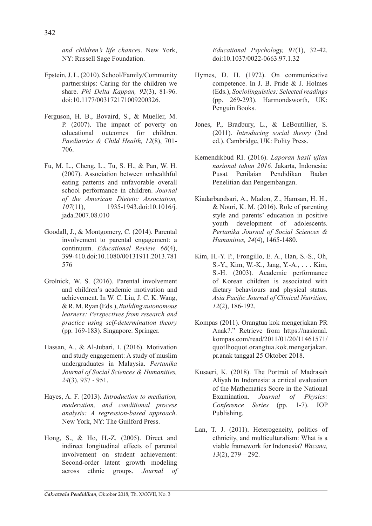*and children's life chances*. New York, NY: Russell Sage Foundation.

- Epstein, J. L. (2010). School/Family/Community partnerships: Caring for the children we share. *Phi Delta Kappan, 92*(3), 81-96. doi:10.1177/003172171009200326.
- Ferguson, H. B., Bovaird, S., & Mueller, M. P. (2007). The impact of poverty on educational outcomes for children. *Paediatrics & Child Health, 12*(8), 701- 706.
- Fu, M. L., Cheng, L., Tu, S. H., & Pan, W. H. (2007). Association between unhealthful eating patterns and unfavorable overall school performance in children. *Journal of the American Dietetic Association, 107*(11), 1935-1943.doi:10.1016/j. jada.2007.08.010
- Goodall, J., & Montgomery, C. (2014). Parental involvement to parental engagement: a continuum. *Educational Review, 66*(4), 399-410.doi:10.1080/00131911.2013.781 576
- Grolnick, W. S. (2016). Parental involvement and children's academic motivation and achievement. In W. C. Liu, J. C. K. Wang, & R. M. Ryan (Eds.), *Building autonomous learners: Perspectives from research and practice using self-determination theory* (pp. 169-183). Singapore: Springer.
- Hassan, A., & Al-Jubari, I. (2016). Motivation and study engagement: A study of muslim undergraduates in Malaysia. *Pertanika Journal of Social Sciences & Humanities, 24*(3), 937 - 951.
- Hayes, A. F. (2013). *Introduction to mediation, moderation, and conditional process analysis: A regression-based approach*. New York, NY: The Guilford Press.
- Hong, S., & Ho, H.-Z. (2005). Direct and indirect longitudinal effects of parental involvement on student achievement: Second-order latent growth modeling across ethnic groups. *Journal of*

*Educational Psychology, 97*(1), 32-42. doi:10.1037/0022-0663.97.1.32

- Hymes, D. H. (1972). On communicative competence. In J. B. Pride & J. Holmes (Eds.), *Sociolinguistics: Selected readings* (pp. 269-293). Harmondsworth, UK: Penguin Books.
- Jones, P., Bradbury, L., & LeBoutillier, S. (2011). *Introducing social theory* (2nd ed.). Cambridge, UK: Polity Press.
- Kemendikbud RI. (2016). *Laporan hasil ujian nasional tahun 2016.* Jakarta, Indonesia: Pusat Penilaian Pendidikan Badan Penelitian dan Pengembangan.
- Kiadarbandsari, A., Madon, Z., Hamsan, H. H., & Nouri, K. M. (2016). Role of parenting style and parents' education in positive youth development of adolescents. *Pertanika Journal of Social Sciences & Humanities, 24*(4), 1465-1480.
- Kim, H.-Y. P., Frongillo, E. A., Han, S.-S., Oh, S.-Y., Kim, W.-K., Jang, Y.-A., . . . Kim, S.-H. (2003). Academic performance of Korean children is associated with dietary behaviours and physical status. *Asia Pacific Journal of Clinical Nutrition, 12*(2), 186-192.
- Kompas (2011). Orangtua kok mengerjakan PR Anak?." Retrieve from https://nasional. kompas.com/read/2011/01/20/11461571/ quotlhoquot.orangtua.kok.mengerjakan. pr.anak tanggal 25 Oktober 2018.
- Kusaeri, K. (2018). The Portrait of Madrasah Aliyah In Indonesia: a critical evaluation of the Mathematics Score in the National Examination. *Journal of Physics: Conference Series* (pp. 1-7). IOP Publishing.
- Lan, T. J. (2011). Heterogeneity, politics of ethnicity, and multiculturalism: What is a viable framework for Indonesia? *Wacana, 13*(2), 279—292.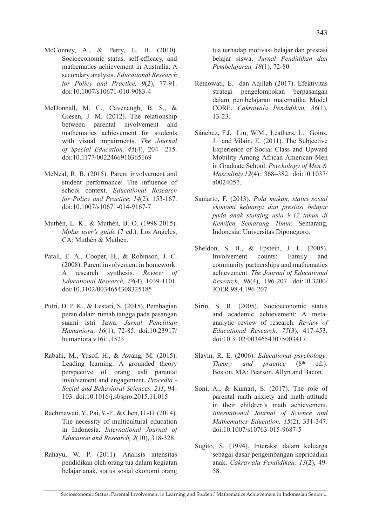- McConney, A., & Perry, L. B. (2010). Socioeconomic status, self-efficacy, and mathematics achievement in Australia: A secondary analysis. *Educational Research for Policy and Practice, 9*(2), 77-91. doi:10.1007/s10671-010-9083-4
- McDonnall, M. C., Cavenaugh, B. S., & Giesen, J. M. (2012). The relationship between parental involvement and mathematics achievement for students with visual impairments. *The Journal of Special Education, 45*(4), 204 –215. doi:10.1177/0022466910365169
- McNeal, R. B. (2015). Parent involvement and student performance: The influence of school context. *Educational Research for Policy and Practice, 14*(2), 153-167. doi:10.1007/s10671-014-9167-7
- Muthén, L. K., & Muthén, B. O. (1998-2015). *Mplus user's guide* (7 ed.). Los Angeles, CA: Muthén & Muthén.
- Patall, E. A., Cooper, H., & Robinson, J. C. (2008). Parent involvement in homework: A research synthesis. *Review of Educational Research, 78*(4), 1039-1101. doi:10.3102/0034654308325185
- Putri, D. P. K., & Lestari, S. (2015). Pembagian peran dalam rumah tangga pada pasangan suami istri Jawa. *Jurnal Penelitian Humaniora, 16*(1), 72-85. doi:10.23917/ humaniora.v16i1.1523
- Rabahi, M., Yusof, H., & Awang, M. (2015). Leading learning: A grounded theory perspective of orang asli parental involvement and engagement. *Procedia - Social and Behavioral Sciences, 211*, 94- 103. doi:10.1016/j.sbspro.2015.11.015
- Rachmawati, Y., Pai, Y.-F., & Chen, H.-H. (2014). The necessity of multicultural education in Indonesia. *International Journal of Education and Research, 2*(10), 318-328.
- Rahayu, W. P. (2011). Analisis intensitas pendidikan oleh orang tua dalam kegiatan belajar anak, status sosial ekonomi orang

tua terhadap motivasi belajar dan prestasi belajar siswa. *Jurnal Pendidikan dan Pembelajaran, 18*(1), 72-80.

- Retnowati, E. dan Aqiilah (2017). Efektivitas strategi pengelompokan berpasangan dalam pembelajaran matematika Model CORE. *Cakrawala Pendidikan, 36*(1), 13-23.
- Sánchez, F.J, Liu, W.M., Leathers, L. Goins, J. and Vilain, E. (2011). The Subjective Experience of Social Class and Upward Mobility Among African American Men in Graduate School. *Psychology of Men & Masculinty,12*(4): 368–382. doi:10.1037/ a0024057.
- Saniarto, F. (2013). *Pola makan, status sosial ekonomi keluarga dan prestasi belajar pada anak stunting usia 9-12 tahun di Kemijen Semarang Timur.* Semarang, Indonesia: Universitas Diponegoro.
- Sheldon, S. B., & Epstein, J. L. (2005). Involvement counts: Family and community partnerships and mathematics achievement. *The Journal of Educational Research, 98*(4), 196-207. doi:10.3200/ JOER.98.4.196-207
- Sirin, S. R. (2005). Socioeconomic status and academic achievement: A metaanalytic review of research. *Review of Educational Research, 75*(3), 417-453. doi:10.3102/00346543075003417
- Slavin, R. E. (2006). *Educational psychology: Theory and practice* (8<sup>th</sup> ed.). Boston, MA: Pearson, Allyn and Bacon.
- Soni, A., & Kumari, S. (2017). The role of parental math anxiety and math attitude in their children's math achievement. *International Journal of Science and Mathematics Education, 15*(2), 331-347. doi:10.1007/s10763-015-9687-5
- Sugito, S. (1994). Interaksi dalam keluarga sebagai dasar pengembangan kepribadian anak. *Cakrawala Pendidikan, 13*(2), 49- 58.

Socioeconomic Status, Parental Involvement in Learning and Student' Mathematics Achievement in Indonesian Senior ...